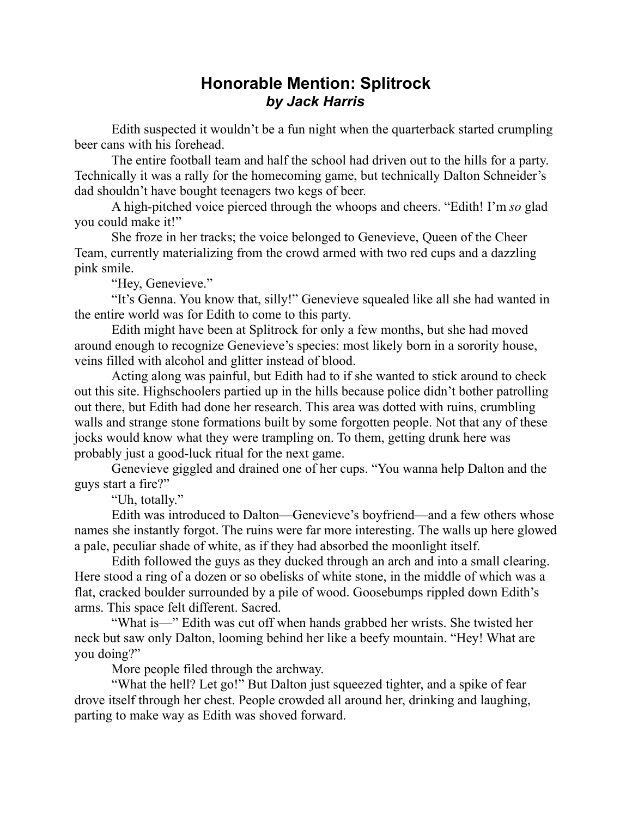## **Honorable Mention: Splitrock** *by Jack Harris*

Edith suspected it wouldn't be a fun night when the quarterback started crumpling beer cans with his forehead.

The entire football team and half the school had driven out to the hills for a party. Technically it was a rally for the homecoming game, but technically Dalton Schneider's dad shouldn't have bought teenagers two kegs of beer.

A high-pitched voice pierced through the whoops and cheers. "Edith! I'm *so* glad you could make it!"

She froze in her tracks; the voice belonged to Genevieve, Queen of the Cheer Team, currently materializing from the crowd armed with two red cups and a dazzling pink smile.

"Hey, Genevieve."

"It's Genna. You know that, silly!" Genevieve squealed like all she had wanted in the entire world was for Edith to come to this party.

Edith might have been at Splitrock for only a few months, but she had moved around enough to recognize Genevieve's species: most likely born in a sorority house, veins filled with alcohol and glitter instead of blood.

Acting along was painful, but Edith had to if she wanted to stick around to check out this site. Highschoolers partied up in the hills because police didn't bother patrolling out there, but Edith had done her research. This area was dotted with ruins, crumbling walls and strange stone formations built by some forgotten people. Not that any of these jocks would know what they were trampling on. To them, getting drunk here was probably just a good-luck ritual for the next game.

Genevieve giggled and drained one of her cups. "You wanna help Dalton and the guys start a fire?"

"Uh, totally."

Edith was introduced to Dalton—Genevieve's boyfriend—and a few others whose names she instantly forgot. The ruins were far more interesting. The walls up here glowed a pale, peculiar shade of white, as if they had absorbed the moonlight itself.

Edith followed the guys as they ducked through an arch and into a small clearing. Here stood a ring of a dozen or so obelisks of white stone, in the middle of which was a flat, cracked boulder surrounded by a pile of wood. Goosebumps rippled down Edith's arms. This space felt different. Sacred.

"What is—" Edith was cut off when hands grabbed her wrists. She twisted her neck but saw only Dalton, looming behind her like a beefy mountain. "Hey! What are you doing?"

More people filed through the archway.

"What the hell? Let go!" But Dalton just squeezed tighter, and a spike of fear drove itself through her chest. People crowded all around her, drinking and laughing, parting to make way as Edith was shoved forward.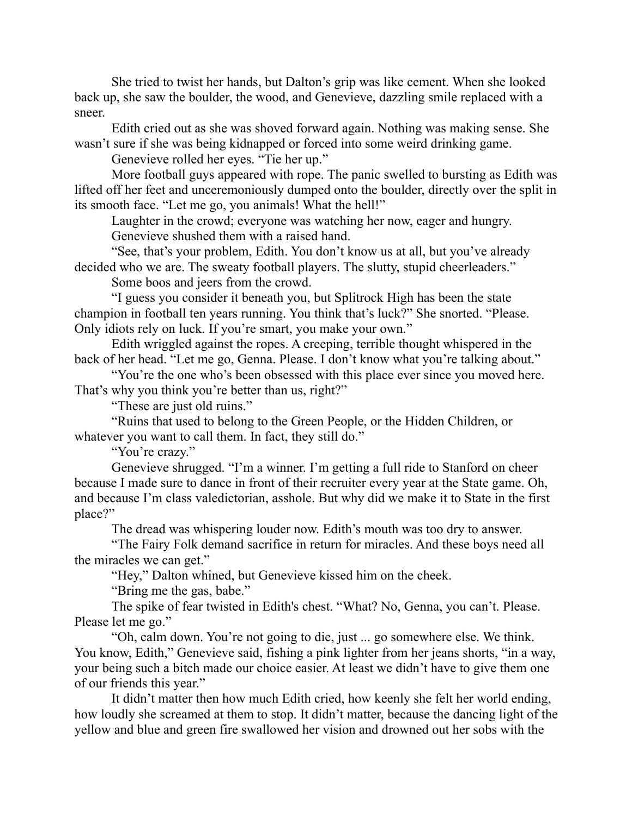She tried to twist her hands, but Dalton's grip was like cement. When she looked back up, she saw the boulder, the wood, and Genevieve, dazzling smile replaced with a sneer.

Edith cried out as she was shoved forward again. Nothing was making sense. She wasn't sure if she was being kidnapped or forced into some weird drinking game.

Genevieve rolled her eyes. "Tie her up."

More football guys appeared with rope. The panic swelled to bursting as Edith was lifted off her feet and unceremoniously dumped onto the boulder, directly over the split in its smooth face. "Let me go, you animals! What the hell!"

Laughter in the crowd; everyone was watching her now, eager and hungry.

Genevieve shushed them with a raised hand.

"See, that's your problem, Edith. You don't know us at all, but you've already decided who we are. The sweaty football players. The slutty, stupid cheerleaders."

Some boos and jeers from the crowd.

"I guess you consider it beneath you, but Splitrock High has been the state champion in football ten years running. You think that's luck?" She snorted. "Please. Only idiots rely on luck. If you're smart, you make your own."

Edith wriggled against the ropes. A creeping, terrible thought whispered in the back of her head. "Let me go, Genna. Please. I don't know what you're talking about."

"You're the one who's been obsessed with this place ever since you moved here. That's why you think you're better than us, right?"

"These are just old ruins."

"Ruins that used to belong to the Green People, or the Hidden Children, or whatever you want to call them. In fact, they still do."

"You're crazy."

Genevieve shrugged. "I'm a winner. I'm getting a full ride to Stanford on cheer because I made sure to dance in front of their recruiter every year at the State game. Oh, and because I'm class valedictorian, asshole. But why did we make it to State in the first place?"

The dread was whispering louder now. Edith's mouth was too dry to answer.

"The Fairy Folk demand sacrifice in return for miracles. And these boys need all the miracles we can get."

"Hey," Dalton whined, but Genevieve kissed him on the cheek.

"Bring me the gas, babe."

The spike of fear twisted in Edith's chest. "What? No, Genna, you can't. Please. Please let me go."

"Oh, calm down. You're not going to die, just ... go somewhere else. We think. You know, Edith," Genevieve said, fishing a pink lighter from her jeans shorts, "in a way, your being such a bitch made our choice easier. At least we didn't have to give them one of our friends this year."

It didn't matter then how much Edith cried, how keenly she felt her world ending, how loudly she screamed at them to stop. It didn't matter, because the dancing light of the yellow and blue and green fire swallowed her vision and drowned out her sobs with the